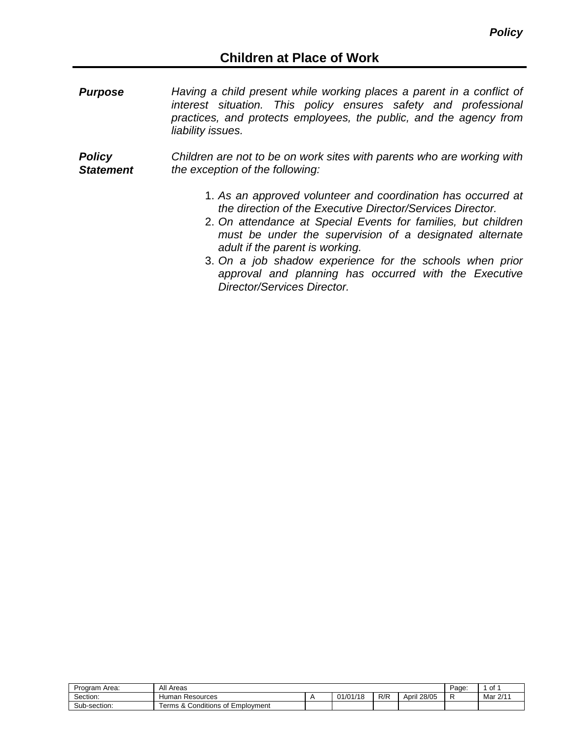*Purpose Having a child present while working places a parent in a conflict of interest situation. This policy ensures safety and professional practices, and protects employees, the public, and the agency from liability issues.* 

*Policy Statement Children are not to be on work sites with parents who are working with the exception of the following:*

- 1. *As an approved volunteer and coordination has occurred at the direction of the Executive Director/Services Director.*
- 2. *On attendance at Special Events for families, but children must be under the supervision of a designated alternate adult if the parent is working.*
- 3. *On a job shadow experience for the schools when prior approval and planning has occurred with the Executive Director/Services Director.*

| Program Area: | All Areas                                            | Page.    | οt  |             |  |          |
|---------------|------------------------------------------------------|----------|-----|-------------|--|----------|
| -<br>Section: | Resources<br>Humar                                   | 01/01/18 | R/R | April 28/05 |  | Mar 2/11 |
| Sub-section:  | $\cdots$<br>erms &<br>Employment<br>∴Conditions of ' |          |     |             |  |          |